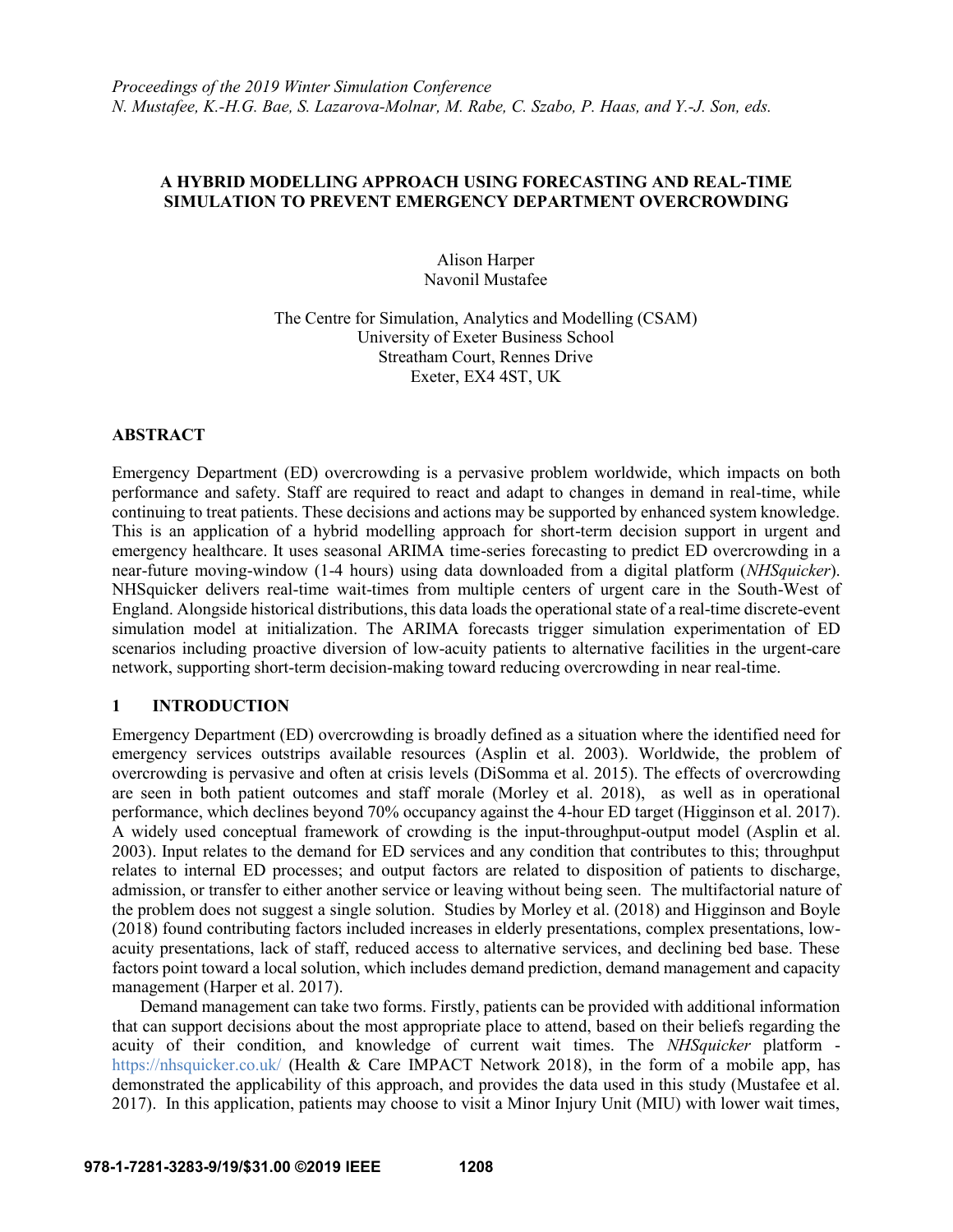# **A HYBRID MODELLING APPROACH USING FORECASTING AND REAL-TIME SIMULATION TO PREVENT EMERGENCY DEPARTMENT OVERCROWDING**

Alison Harper Navonil Mustafee

The Centre for Simulation, Analytics and Modelling (CSAM) University of Exeter Business School Streatham Court, Rennes Drive Exeter, EX4 4ST, UK

## **ABSTRACT**

Emergency Department (ED) overcrowding is a pervasive problem worldwide, which impacts on both performance and safety. Staff are required to react and adapt to changes in demand in real-time, while continuing to treat patients. These decisions and actions may be supported by enhanced system knowledge. This is an application of a hybrid modelling approach for short-term decision support in urgent and emergency healthcare. It uses seasonal ARIMA time-series forecasting to predict ED overcrowding in a near-future moving-window (1-4 hours) using data downloaded from a digital platform (*NHSquicker*). NHSquicker delivers real-time wait-times from multiple centers of urgent care in the South-West of England. Alongside historical distributions, this data loads the operational state of a real-time discrete-event simulation model at initialization. The ARIMA forecasts trigger simulation experimentation of ED scenarios including proactive diversion of low-acuity patients to alternative facilities in the urgent-care network, supporting short-term decision-making toward reducing overcrowding in near real-time.

# **1 INTRODUCTION**

Emergency Department (ED) overcrowding is broadly defined as a situation where the identified need for emergency services outstrips available resources (Asplin et al. 2003). Worldwide, the problem of overcrowding is pervasive and often at crisis levels (DiSomma et al. 2015). The effects of overcrowding are seen in both patient outcomes and staff morale (Morley et al. 2018), as well as in operational performance, which declines beyond 70% occupancy against the 4-hour ED target (Higginson et al. 2017). A widely used conceptual framework of crowding is the input-throughput-output model (Asplin et al. 2003). Input relates to the demand for ED services and any condition that contributes to this; throughput relates to internal ED processes; and output factors are related to disposition of patients to discharge, admission, or transfer to either another service or leaving without being seen. The multifactorial nature of the problem does not suggest a single solution. Studies by Morley et al. (2018) and Higginson and Boyle (2018) found contributing factors included increases in elderly presentations, complex presentations, lowacuity presentations, lack of staff, reduced access to alternative services, and declining bed base. These factors point toward a local solution, which includes demand prediction, demand management and capacity management (Harper et al. 2017).

Demand management can take two forms. Firstly, patients can be provided with additional information that can support decisions about the most appropriate place to attend, based on their beliefs regarding the acuity of their condition, and knowledge of current wait times. The *NHSquicker* platform <https://nhsquicker.co.uk/> (Health & Care IMPACT Network 2018), in the form of a mobile app, has demonstrated the applicability of this approach, and provides the data used in this study (Mustafee et al. 2017). In this application, patients may choose to visit a Minor Injury Unit (MIU) with lower wait times,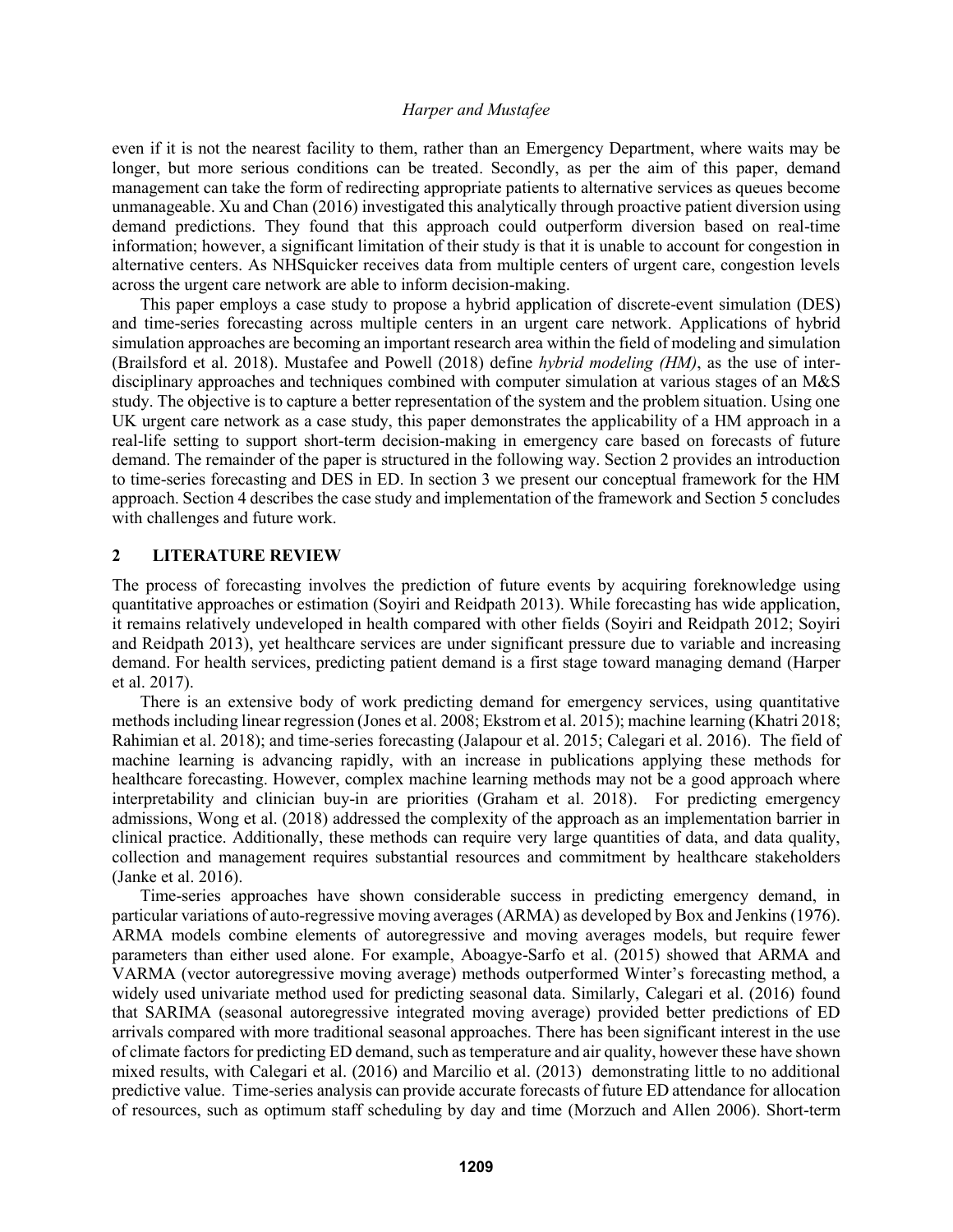even if it is not the nearest facility to them, rather than an Emergency Department, where waits may be longer, but more serious conditions can be treated. Secondly, as per the aim of this paper, demand management can take the form of redirecting appropriate patients to alternative services as queues become unmanageable. Xu and Chan (2016) investigated this analytically through proactive patient diversion using demand predictions. They found that this approach could outperform diversion based on real-time information; however, a significant limitation of their study is that it is unable to account for congestion in alternative centers. As NHSquicker receives data from multiple centers of urgent care, congestion levels across the urgent care network are able to inform decision-making.

This paper employs a case study to propose a hybrid application of discrete-event simulation (DES) and time-series forecasting across multiple centers in an urgent care network. Applications of hybrid simulation approaches are becoming an important research area within the field of modeling and simulation (Brailsford et al. 2018). Mustafee and Powell (2018) define *hybrid modeling (HM)*, as the use of interdisciplinary approaches and techniques combined with computer simulation at various stages of an M&S study. The objective is to capture a better representation of the system and the problem situation. Using one UK urgent care network as a case study, this paper demonstrates the applicability of a HM approach in a real-life setting to support short-term decision-making in emergency care based on forecasts of future demand. The remainder of the paper is structured in the following way. Section 2 provides an introduction to time-series forecasting and DES in ED. In section 3 we present our conceptual framework for the HM approach. Section 4 describes the case study and implementation of the framework and Section 5 concludes with challenges and future work.

## **2 LITERATURE REVIEW**

The process of forecasting involves the prediction of future events by acquiring foreknowledge using quantitative approaches or estimation (Soyiri and Reidpath 2013). While forecasting has wide application, it remains relatively undeveloped in health compared with other fields (Soyiri and Reidpath 2012; Soyiri and Reidpath 2013), yet healthcare services are under significant pressure due to variable and increasing demand. For health services, predicting patient demand is a first stage toward managing demand (Harper et al. 2017).

There is an extensive body of work predicting demand for emergency services, using quantitative methods including linear regression (Jones et al. 2008; Ekstrom et al. 2015); machine learning (Khatri 2018; Rahimian et al. 2018); and time-series forecasting (Jalapour et al. 2015; Calegari et al. 2016). The field of machine learning is advancing rapidly, with an increase in publications applying these methods for healthcare forecasting. However, complex machine learning methods may not be a good approach where interpretability and clinician buy-in are priorities (Graham et al. 2018). For predicting emergency admissions, Wong et al. (2018) addressed the complexity of the approach as an implementation barrier in clinical practice. Additionally, these methods can require very large quantities of data, and data quality, collection and management requires substantial resources and commitment by healthcare stakeholders (Janke et al. 2016).

Time-series approaches have shown considerable success in predicting emergency demand, in particular variations of auto-regressive moving averages (ARMA) as developed by Box and Jenkins (1976). ARMA models combine elements of autoregressive and moving averages models, but require fewer parameters than either used alone. For example, Aboagye-Sarfo et al. (2015) showed that ARMA and VARMA (vector autoregressive moving average) methods outperformed Winter's forecasting method, a widely used univariate method used for predicting seasonal data. Similarly, Calegari et al. (2016) found that SARIMA (seasonal autoregressive integrated moving average) provided better predictions of ED arrivals compared with more traditional seasonal approaches. There has been significant interest in the use of climate factors for predicting ED demand, such as temperature and air quality, however these have shown mixed results, with Calegari et al. (2016) and Marcilio et al. (2013) demonstrating little to no additional predictive value. Time-series analysis can provide accurate forecasts of future ED attendance for allocation of resources, such as optimum staff scheduling by day and time (Morzuch and Allen 2006). Short-term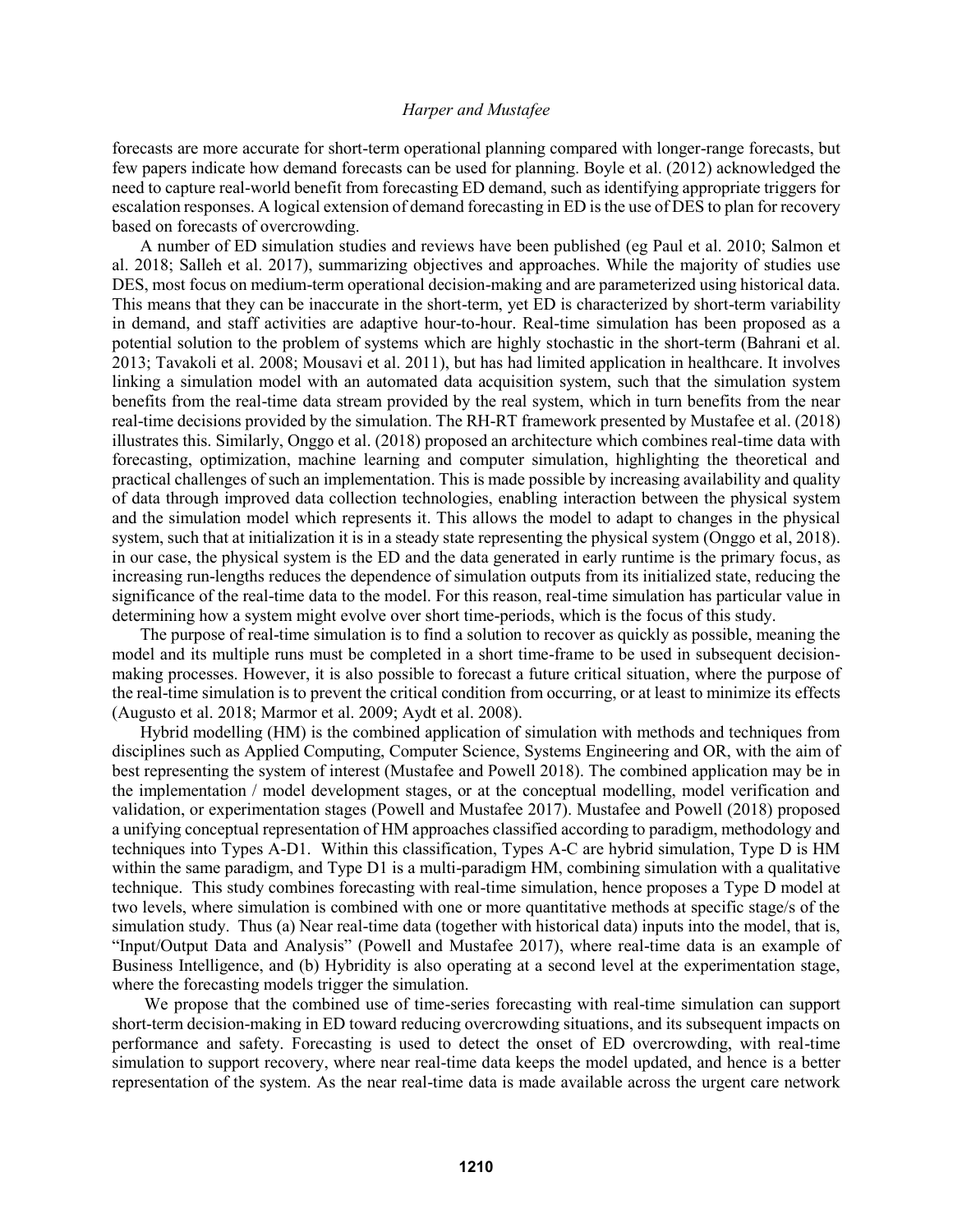forecasts are more accurate for short-term operational planning compared with longer-range forecasts, but few papers indicate how demand forecasts can be used for planning. Boyle et al. (2012) acknowledged the need to capture real-world benefit from forecasting ED demand, such as identifying appropriate triggers for escalation responses. A logical extension of demand forecasting in ED is the use of DES to plan for recovery based on forecasts of overcrowding.

A number of ED simulation studies and reviews have been published (eg Paul et al. 2010; Salmon et al. 2018; Salleh et al. 2017), summarizing objectives and approaches. While the majority of studies use DES, most focus on medium-term operational decision-making and are parameterized using historical data. This means that they can be inaccurate in the short-term, yet ED is characterized by short-term variability in demand, and staff activities are adaptive hour-to-hour. Real-time simulation has been proposed as a potential solution to the problem of systems which are highly stochastic in the short-term (Bahrani et al. 2013; Tavakoli et al. 2008; Mousavi et al. 2011), but has had limited application in healthcare. It involves linking a simulation model with an automated data acquisition system, such that the simulation system benefits from the real-time data stream provided by the real system, which in turn benefits from the near real-time decisions provided by the simulation. The RH-RT framework presented by Mustafee et al. (2018) illustrates this. Similarly, Onggo et al. (2018) proposed an architecture which combines real-time data with forecasting, optimization, machine learning and computer simulation, highlighting the theoretical and practical challenges of such an implementation. This is made possible by increasing availability and quality of data through improved data collection technologies, enabling interaction between the physical system and the simulation model which represents it. This allows the model to adapt to changes in the physical system, such that at initialization it is in a steady state representing the physical system (Onggo et al, 2018). in our case, the physical system is the ED and the data generated in early runtime is the primary focus, as increasing run-lengths reduces the dependence of simulation outputs from its initialized state, reducing the significance of the real-time data to the model. For this reason, real-time simulation has particular value in determining how a system might evolve over short time-periods, which is the focus of this study.

The purpose of real-time simulation is to find a solution to recover as quickly as possible, meaning the model and its multiple runs must be completed in a short time-frame to be used in subsequent decisionmaking processes. However, it is also possible to forecast a future critical situation, where the purpose of the real-time simulation is to prevent the critical condition from occurring, or at least to minimize its effects (Augusto et al. 2018; Marmor et al. 2009; Aydt et al. 2008).

Hybrid modelling (HM) is the combined application of simulation with methods and techniques from disciplines such as Applied Computing, Computer Science, Systems Engineering and OR, with the aim of best representing the system of interest (Mustafee and Powell 2018). The combined application may be in the implementation / model development stages, or at the conceptual modelling, model verification and validation, or experimentation stages (Powell and Mustafee 2017). Mustafee and Powell (2018) proposed a unifying conceptual representation of HM approaches classified according to paradigm, methodology and techniques into Types A-D1. Within this classification, Types A-C are hybrid simulation, Type D is HM within the same paradigm, and Type D1 is a multi-paradigm HM, combining simulation with a qualitative technique. This study combines forecasting with real-time simulation, hence proposes a Type D model at two levels, where simulation is combined with one or more quantitative methods at specific stage/s of the simulation study. Thus (a) Near real-time data (together with historical data) inputs into the model, that is, "Input/Output Data and Analysis" (Powell and Mustafee 2017), where real-time data is an example of Business Intelligence, and (b) Hybridity is also operating at a second level at the experimentation stage, where the forecasting models trigger the simulation.

We propose that the combined use of time-series forecasting with real-time simulation can support short-term decision-making in ED toward reducing overcrowding situations, and its subsequent impacts on performance and safety. Forecasting is used to detect the onset of ED overcrowding, with real-time simulation to support recovery, where near real-time data keeps the model updated, and hence is a better representation of the system. As the near real-time data is made available across the urgent care network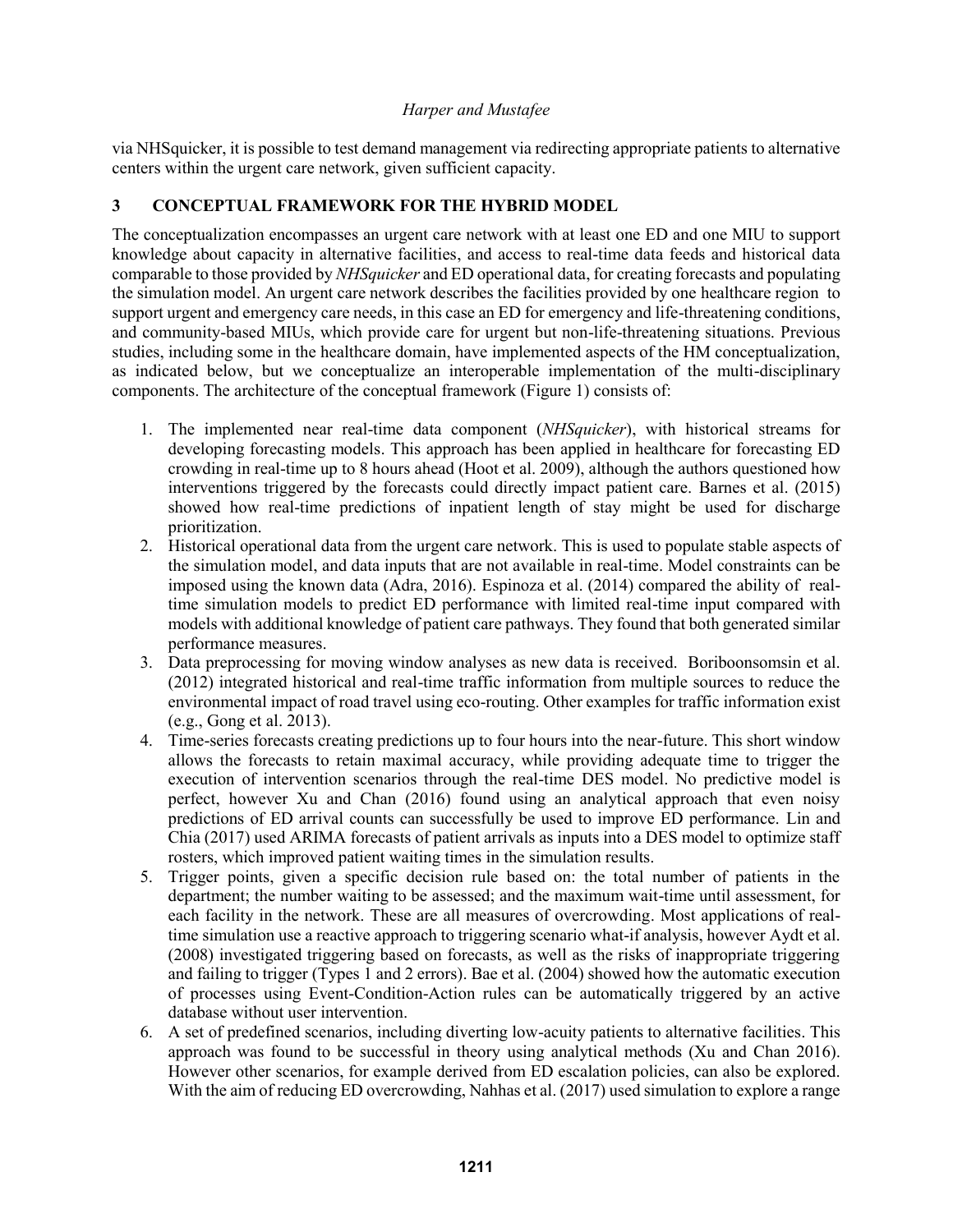via NHSquicker, it is possible to test demand management via redirecting appropriate patients to alternative centers within the urgent care network, given sufficient capacity.

# **3 CONCEPTUAL FRAMEWORK FOR THE HYBRID MODEL**

The conceptualization encompasses an urgent care network with at least one ED and one MIU to support knowledge about capacity in alternative facilities, and access to real-time data feeds and historical data comparable to those provided by *NHSquicker* and ED operational data, for creating forecasts and populating the simulation model. An urgent care network describes the facilities provided by one healthcare region to support urgent and emergency care needs, in this case an ED for emergency and life-threatening conditions, and community-based MIUs, which provide care for urgent but non-life-threatening situations. Previous studies, including some in the healthcare domain, have implemented aspects of the HM conceptualization, as indicated below, but we conceptualize an interoperable implementation of the multi-disciplinary components. The architecture of the conceptual framework (Figure 1) consists of:

- 1. The implemented near real-time data component (*NHSquicker*), with historical streams for developing forecasting models. This approach has been applied in healthcare for forecasting ED crowding in real-time up to 8 hours ahead (Hoot et al. 2009), although the authors questioned how interventions triggered by the forecasts could directly impact patient care. Barnes et al. (2015) showed how real-time predictions of inpatient length of stay might be used for discharge prioritization.
- 2. Historical operational data from the urgent care network. This is used to populate stable aspects of the simulation model, and data inputs that are not available in real-time. Model constraints can be imposed using the known data (Adra, 2016). Espinoza et al. (2014) compared the ability of realtime simulation models to predict ED performance with limited real-time input compared with models with additional knowledge of patient care pathways. They found that both generated similar performance measures.
- 3. Data preprocessing for moving window analyses as new data is received. Boriboonsomsin et al. (2012) integrated historical and real-time traffic information from multiple sources to reduce the environmental impact of road travel using eco-routing. Other examples for traffic information exist (e.g., Gong et al. 2013).
- 4. Time-series forecasts creating predictions up to four hours into the near-future. This short window allows the forecasts to retain maximal accuracy, while providing adequate time to trigger the execution of intervention scenarios through the real-time DES model. No predictive model is perfect, however Xu and Chan (2016) found using an analytical approach that even noisy predictions of ED arrival counts can successfully be used to improve ED performance. Lin and Chia (2017) used ARIMA forecasts of patient arrivals as inputs into a DES model to optimize staff rosters, which improved patient waiting times in the simulation results.
- 5. Trigger points, given a specific decision rule based on: the total number of patients in the department; the number waiting to be assessed; and the maximum wait-time until assessment, for each facility in the network. These are all measures of overcrowding. Most applications of realtime simulation use a reactive approach to triggering scenario what-if analysis, however Aydt et al. (2008) investigated triggering based on forecasts, as well as the risks of inappropriate triggering and failing to trigger (Types 1 and 2 errors). Bae et al. (2004) showed how the automatic execution of processes using Event-Condition-Action rules can be automatically triggered by an active database without user intervention.
- 6. A set of predefined scenarios, including diverting low-acuity patients to alternative facilities. This approach was found to be successful in theory using analytical methods (Xu and Chan 2016). However other scenarios, for example derived from ED escalation policies, can also be explored. With the aim of reducing ED overcrowding, Nahhas et al. (2017) used simulation to explore a range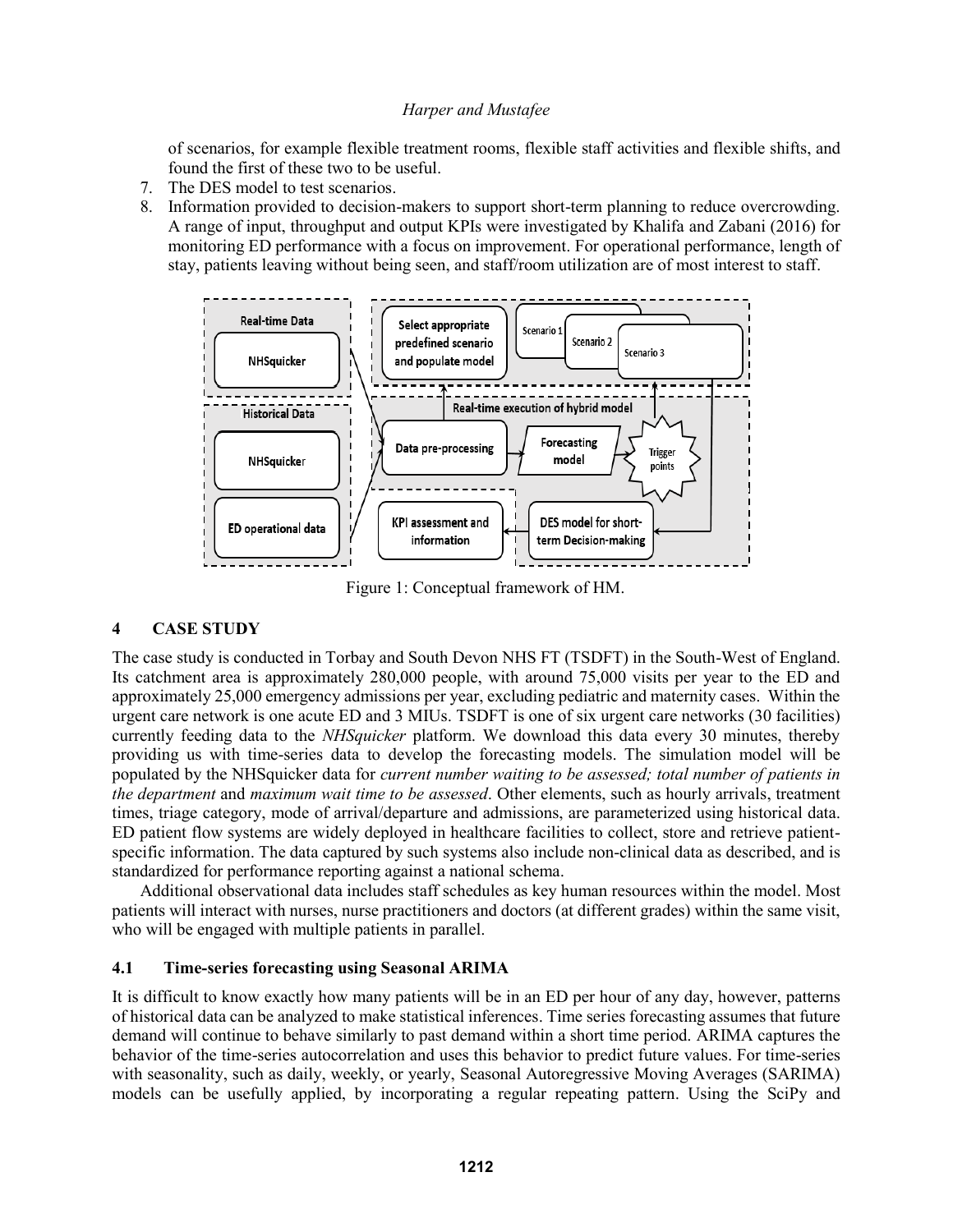of scenarios, for example flexible treatment rooms, flexible staff activities and flexible shifts, and found the first of these two to be useful.

- 7. The DES model to test scenarios.
- 8. Information provided to decision-makers to support short-term planning to reduce overcrowding. A range of input, throughput and output KPIs were investigated by Khalifa and Zabani (2016) for monitoring ED performance with a focus on improvement. For operational performance, length of stay, patients leaving without being seen, and staff/room utilization are of most interest to staff.



Figure 1: Conceptual framework of HM.

### **4 CASE STUDY**

The case study is conducted in Torbay and South Devon NHS FT (TSDFT) in the South-West of England. Its catchment area is approximately 280,000 people, with around 75,000 visits per year to the ED and approximately 25,000 emergency admissions per year, excluding pediatric and maternity cases. Within the urgent care network is one acute ED and 3 MIUs. TSDFT is one of six urgent care networks (30 facilities) currently feeding data to the *NHSquicker* platform. We download this data every 30 minutes, thereby providing us with time-series data to develop the forecasting models. The simulation model will be populated by the NHSquicker data for *current number waiting to be assessed; total number of patients in the department* and *maximum wait time to be assessed*. Other elements, such as hourly arrivals, treatment times, triage category, mode of arrival/departure and admissions, are parameterized using historical data. ED patient flow systems are widely deployed in healthcare facilities to collect, store and retrieve patientspecific information. The data captured by such systems also include non-clinical data as described, and is standardized for performance reporting against a national schema.

Additional observational data includes staff schedules as key human resources within the model. Most patients will interact with nurses, nurse practitioners and doctors (at different grades) within the same visit, who will be engaged with multiple patients in parallel.

# **4.1 Time-series forecasting using Seasonal ARIMA**

It is difficult to know exactly how many patients will be in an ED per hour of any day, however, patterns of historical data can be analyzed to make statistical inferences. Time series forecasting assumes that future demand will continue to behave similarly to past demand within a short time period. ARIMA captures the behavior of the time-series autocorrelation and uses this behavior to predict future values. For time-series with seasonality, such as daily, weekly, or yearly, Seasonal Autoregressive Moving Averages (SARIMA) models can be usefully applied, by incorporating a regular repeating pattern. Using the SciPy and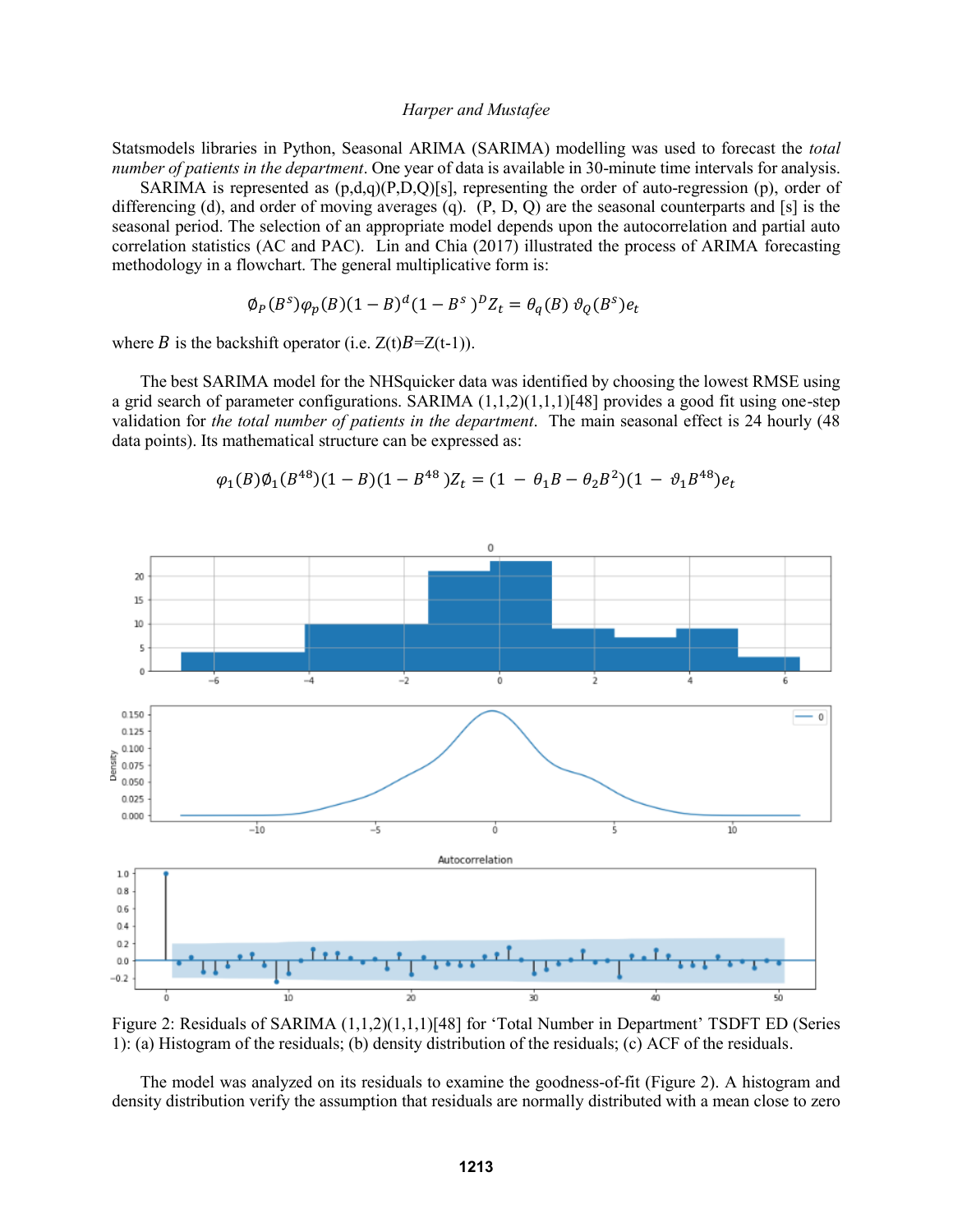Statsmodels libraries in Python, Seasonal ARIMA (SARIMA) modelling was used to forecast the *total number of patients in the department*. One year of data is available in 30-minute time intervals for analysis.

SARIMA is represented as  $(p,d,q)(P,D,Q)[s]$ , representing the order of auto-regression (p), order of differencing (d), and order of moving averages (q). (P, D, Q) are the seasonal counterparts and [s] is the seasonal period. The selection of an appropriate model depends upon the autocorrelation and partial auto correlation statistics (AC and PAC). Lin and Chia (2017) illustrated the process of ARIMA forecasting methodology in a flowchart. The general multiplicative form is:

$$
\phi_P(B^s)\varphi_p(B)(1-B)^d(1-B^s)^D Z_t = \theta_q(B)\vartheta_q(B^s)e_t
$$

where B is the backshift operator (i.e.  $Z(t)B=Z(t-1)$ ).

The best SARIMA model for the NHSquicker data was identified by choosing the lowest RMSE using a grid search of parameter configurations. SARIMA (1,1,2)(1,1,1)[48] provides a good fit using one-step validation for *the total number of patients in the department*. The main seasonal effect is 24 hourly (48 data points). Its mathematical structure can be expressed as:



$$
\varphi_1(B)\varphi_1(B^{48})(1-B)(1-B^{48})Z_t = (1 - \theta_1B - \theta_2B^2)(1 - \vartheta_1B^{48})e_t
$$

Figure 2: Residuals of SARIMA  $(1,1,2)(1,1,1)$ [48] for 'Total Number in Department' TSDFT ED (Series 1): (a) Histogram of the residuals; (b) density distribution of the residuals; (c) ACF of the residuals.

The model was analyzed on its residuals to examine the goodness-of-fit (Figure 2). A histogram and density distribution verify the assumption that residuals are normally distributed with a mean close to zero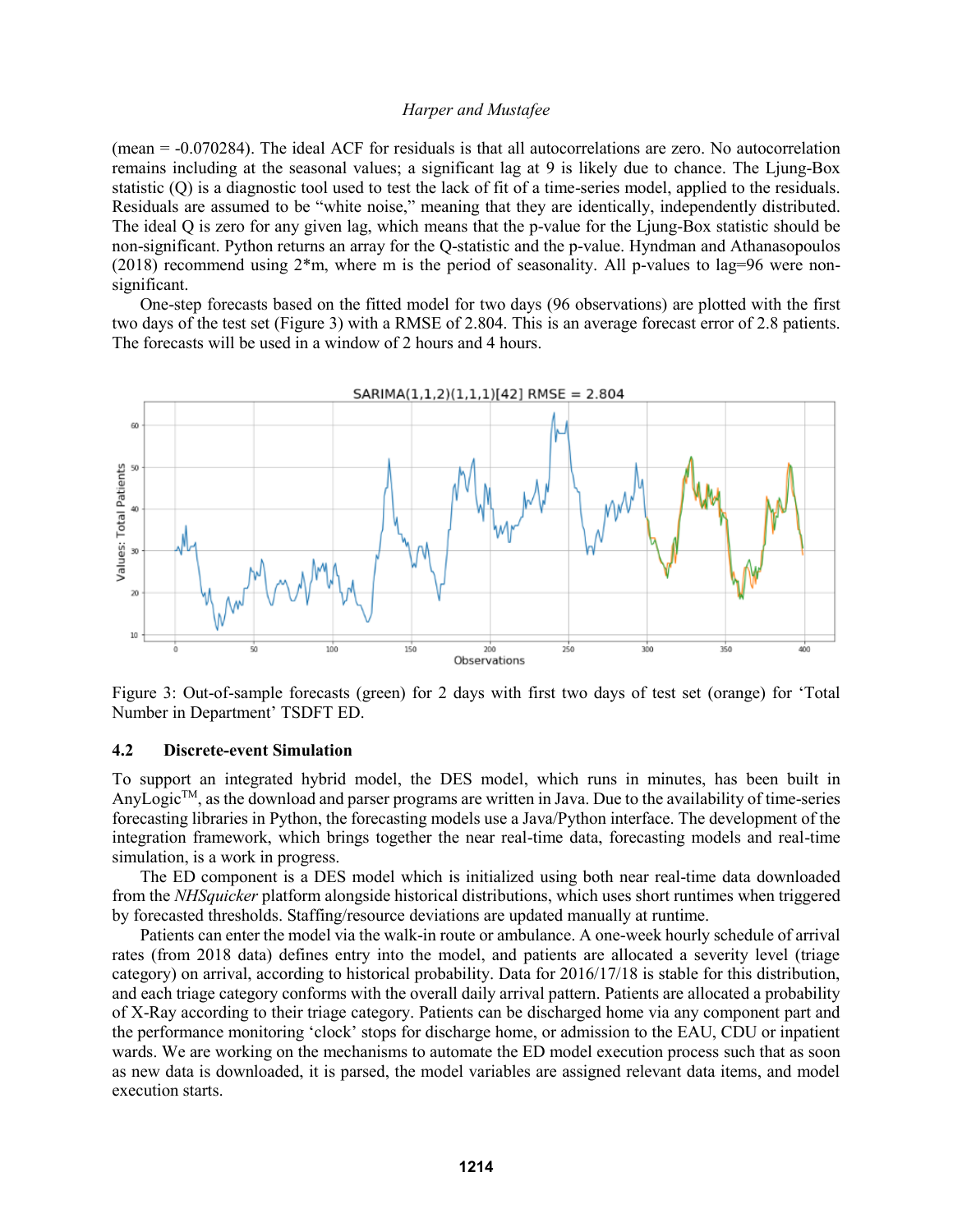(mean = -0.070284). The ideal ACF for residuals is that all autocorrelations are zero. No autocorrelation remains including at the seasonal values; a significant lag at 9 is likely due to chance. The Ljung-Box statistic (Q) is a diagnostic tool used to test the lack of fit of a time-series model, applied to the residuals. Residuals are assumed to be "white noise," meaning that they are identically, independently distributed. The ideal Q is zero for any given lag, which means that the p-value for the Ljung-Box statistic should be non-significant. Python returns an array for the Q-statistic and the p-value. Hyndman and Athanasopoulos (2018) recommend using 2\*m, where m is the period of seasonality. All p-values to lag=96 were nonsignificant.

One-step forecasts based on the fitted model for two days (96 observations) are plotted with the first two days of the test set (Figure 3) with a RMSE of 2.804. This is an average forecast error of 2.8 patients. The forecasts will be used in a window of 2 hours and 4 hours.



Figure 3: Out-of-sample forecasts (green) for 2 days with first two days of test set (orange) for 'Total Number in Department' TSDFT ED.

## **4.2 Discrete-event Simulation**

To support an integrated hybrid model, the DES model, which runs in minutes, has been built in AnyLogicTM, as the download and parser programs are written in Java. Due to the availability of time-series forecasting libraries in Python, the forecasting models use a Java/Python interface. The development of the integration framework, which brings together the near real-time data, forecasting models and real-time simulation, is a work in progress.

The ED component is a DES model which is initialized using both near real-time data downloaded from the *NHSquicker* platform alongside historical distributions, which uses short runtimes when triggered by forecasted thresholds. Staffing/resource deviations are updated manually at runtime.

Patients can enter the model via the walk-in route or ambulance. A one-week hourly schedule of arrival rates (from 2018 data) defines entry into the model, and patients are allocated a severity level (triage category) on arrival, according to historical probability. Data for 2016/17/18 is stable for this distribution, and each triage category conforms with the overall daily arrival pattern. Patients are allocated a probability of X-Ray according to their triage category. Patients can be discharged home via any component part and the performance monitoring 'clock' stops for discharge home, or admission to the EAU, CDU or inpatient wards. We are working on the mechanisms to automate the ED model execution process such that as soon as new data is downloaded, it is parsed, the model variables are assigned relevant data items, and model execution starts.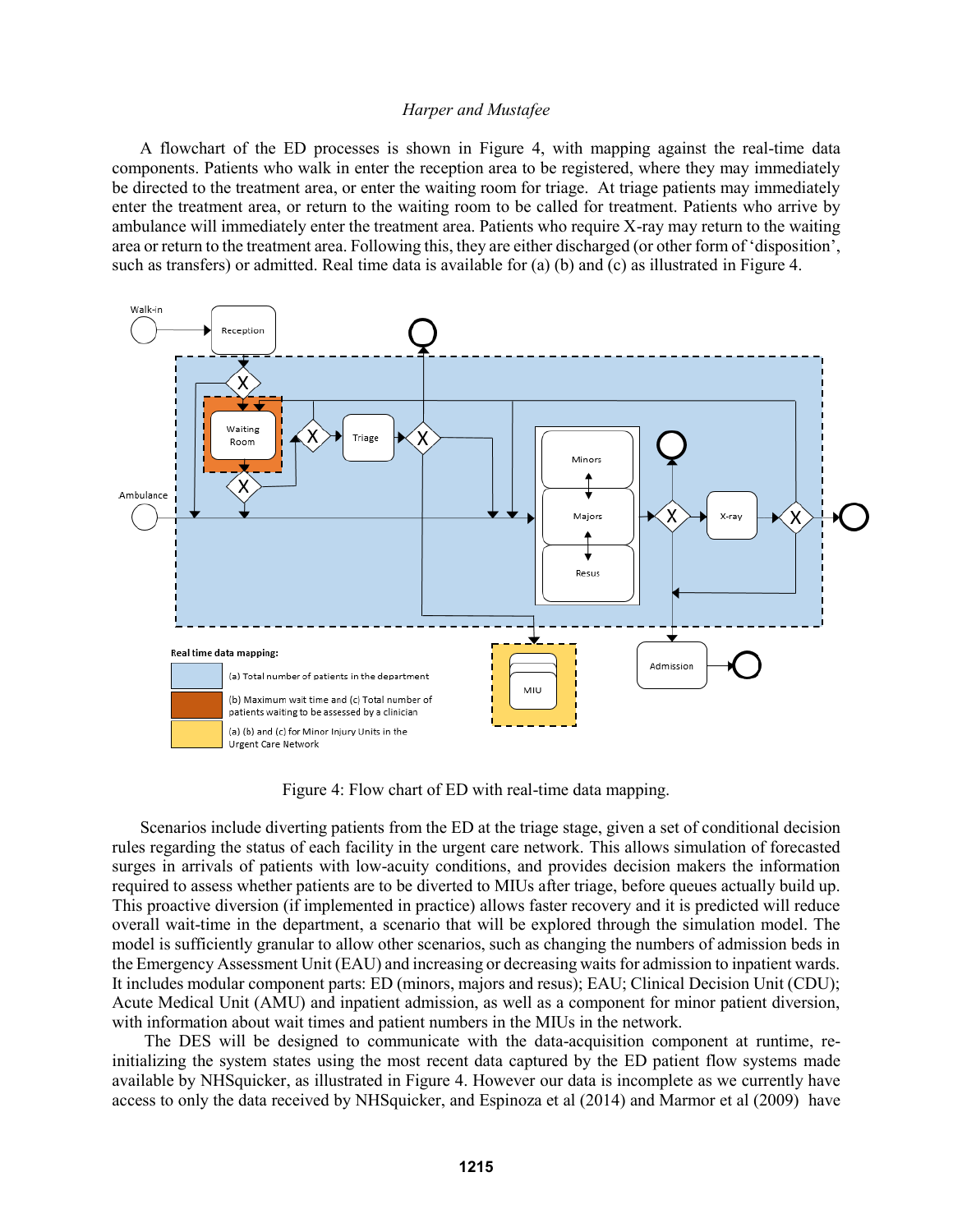A flowchart of the ED processes is shown in Figure 4, with mapping against the real-time data components. Patients who walk in enter the reception area to be registered, where they may immediately be directed to the treatment area, or enter the waiting room for triage. At triage patients may immediately enter the treatment area, or return to the waiting room to be called for treatment. Patients who arrive by ambulance will immediately enter the treatment area. Patients who require X-ray may return to the waiting area or return to the treatment area. Following this, they are either discharged (or other form of 'disposition', such as transfers) or admitted. Real time data is available for (a) (b) and (c) as illustrated in Figure 4.



Figure 4: Flow chart of ED with real-time data mapping.

Scenarios include diverting patients from the ED at the triage stage, given a set of conditional decision rules regarding the status of each facility in the urgent care network. This allows simulation of forecasted surges in arrivals of patients with low-acuity conditions, and provides decision makers the information required to assess whether patients are to be diverted to MIUs after triage, before queues actually build up. This proactive diversion (if implemented in practice) allows faster recovery and it is predicted will reduce overall wait-time in the department, a scenario that will be explored through the simulation model. The model is sufficiently granular to allow other scenarios, such as changing the numbers of admission beds in the Emergency Assessment Unit (EAU) and increasing or decreasing waits for admission to inpatient wards. It includes modular component parts: ED (minors, majors and resus); EAU; Clinical Decision Unit (CDU); Acute Medical Unit (AMU) and inpatient admission, as well as a component for minor patient diversion, with information about wait times and patient numbers in the MIUs in the network.

The DES will be designed to communicate with the data-acquisition component at runtime, reinitializing the system states using the most recent data captured by the ED patient flow systems made available by NHSquicker, as illustrated in Figure 4. However our data is incomplete as we currently have access to only the data received by NHSquicker, and Espinoza et al (2014) and Marmor et al (2009) have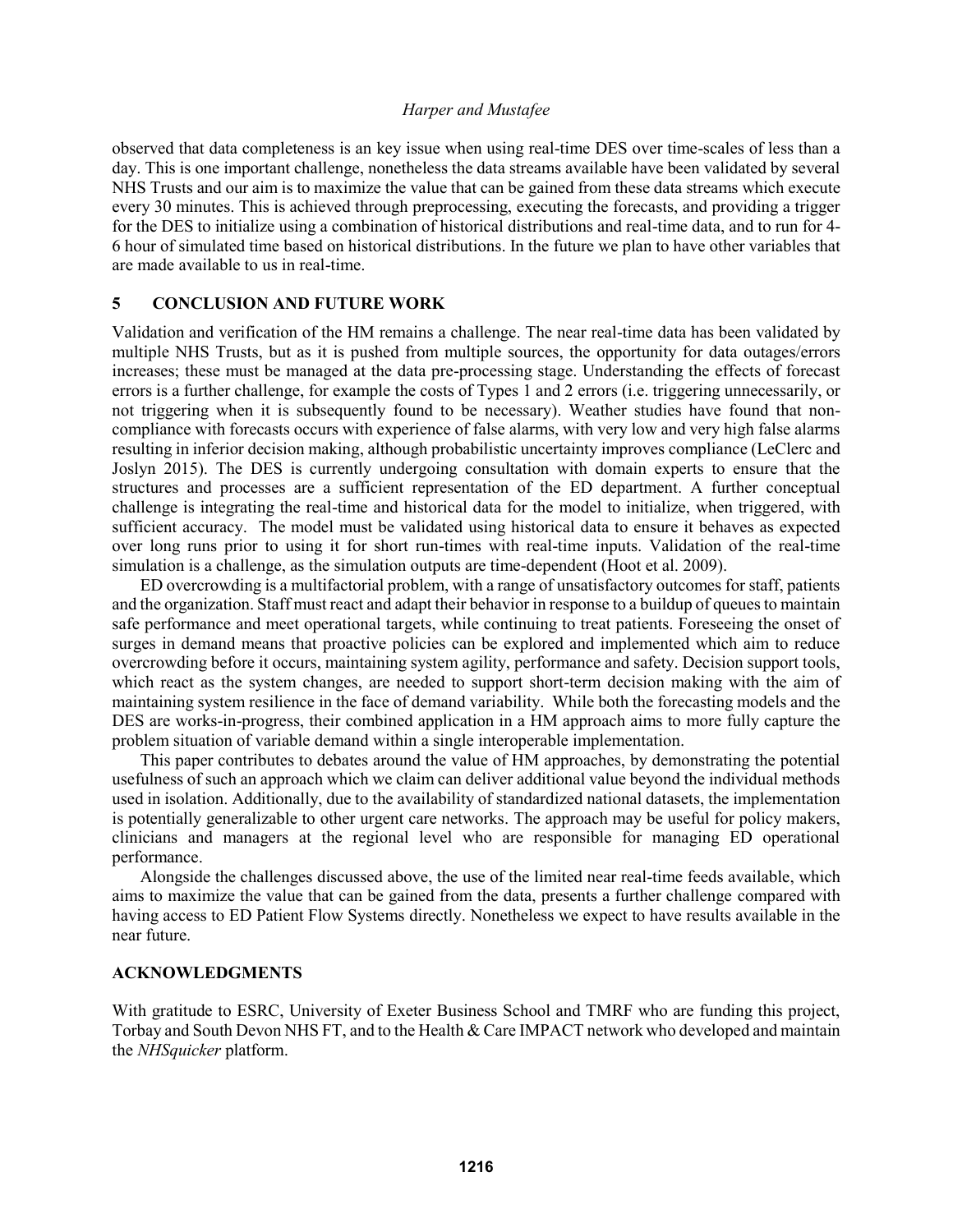observed that data completeness is an key issue when using real-time DES over time-scales of less than a day. This is one important challenge, nonetheless the data streams available have been validated by several NHS Trusts and our aim is to maximize the value that can be gained from these data streams which execute every 30 minutes. This is achieved through preprocessing, executing the forecasts, and providing a trigger for the DES to initialize using a combination of historical distributions and real-time data, and to run for 4- 6 hour of simulated time based on historical distributions. In the future we plan to have other variables that are made available to us in real-time.

#### **5 CONCLUSION AND FUTURE WORK**

Validation and verification of the HM remains a challenge. The near real-time data has been validated by multiple NHS Trusts, but as it is pushed from multiple sources, the opportunity for data outages/errors increases; these must be managed at the data pre-processing stage. Understanding the effects of forecast errors is a further challenge, for example the costs of Types 1 and 2 errors (i.e. triggering unnecessarily, or not triggering when it is subsequently found to be necessary). Weather studies have found that noncompliance with forecasts occurs with experience of false alarms, with very low and very high false alarms resulting in inferior decision making, although probabilistic uncertainty improves compliance (LeClerc and Joslyn 2015). The DES is currently undergoing consultation with domain experts to ensure that the structures and processes are a sufficient representation of the ED department. A further conceptual challenge is integrating the real-time and historical data for the model to initialize, when triggered, with sufficient accuracy. The model must be validated using historical data to ensure it behaves as expected over long runs prior to using it for short run-times with real-time inputs. Validation of the real-time simulation is a challenge, as the simulation outputs are time-dependent (Hoot et al. 2009).

ED overcrowding is a multifactorial problem, with a range of unsatisfactory outcomes for staff, patients and the organization. Staff must react and adapt their behavior in response to a buildup of queues to maintain safe performance and meet operational targets, while continuing to treat patients. Foreseeing the onset of surges in demand means that proactive policies can be explored and implemented which aim to reduce overcrowding before it occurs, maintaining system agility, performance and safety. Decision support tools, which react as the system changes, are needed to support short-term decision making with the aim of maintaining system resilience in the face of demand variability. While both the forecasting models and the DES are works-in-progress, their combined application in a HM approach aims to more fully capture the problem situation of variable demand within a single interoperable implementation.

This paper contributes to debates around the value of HM approaches, by demonstrating the potential usefulness of such an approach which we claim can deliver additional value beyond the individual methods used in isolation. Additionally, due to the availability of standardized national datasets, the implementation is potentially generalizable to other urgent care networks. The approach may be useful for policy makers, clinicians and managers at the regional level who are responsible for managing ED operational performance.

Alongside the challenges discussed above, the use of the limited near real-time feeds available, which aims to maximize the value that can be gained from the data, presents a further challenge compared with having access to ED Patient Flow Systems directly. Nonetheless we expect to have results available in the near future.

#### **ACKNOWLEDGMENTS**

With gratitude to ESRC, University of Exeter Business School and TMRF who are funding this project, Torbay and South Devon NHS FT, and to the Health & Care IMPACT network who developed and maintain the *NHSquicker* platform.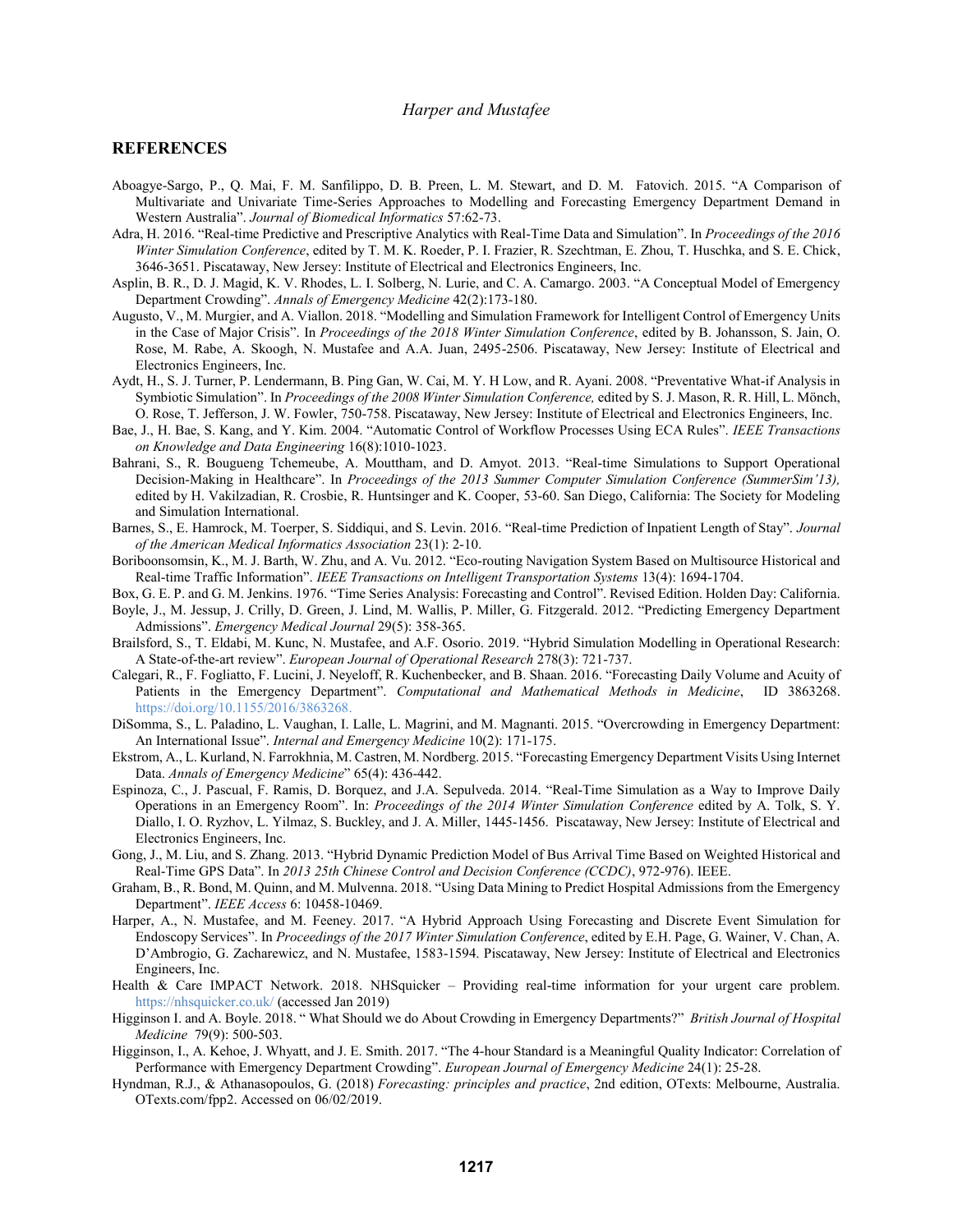#### **REFERENCES**

- Aboagye-Sargo, P., Q. Mai, F. M. Sanfilippo, D. B. Preen, L. M. Stewart, and D. M. Fatovich. 2015. "A Comparison of Multivariate and Univariate Time-Series Approaches to Modelling and Forecasting Emergency Department Demand in Western Australia". *Journal of Biomedical Informatics* 57:62-73.
- Adra, H. 2016. "Real-time Predictive and Prescriptive Analytics with Real-Time Data and Simulation". In *Proceedings of the 2016 Winter Simulation Conference*, edited by T. M. K. Roeder, P. I. Frazier, R. Szechtman, E. Zhou, T. Huschka, and S. E. Chick, 3646-3651. Piscataway, New Jersey: Institute of Electrical and Electronics Engineers, Inc.
- Asplin, B. R., D. J. Magid, K. V. Rhodes, L. I. Solberg, N. Lurie, and C. A. Camargo. 2003. "A Conceptual Model of Emergency Department Crowding". *Annals of Emergency Medicine* 42(2):173-180.
- Augusto, V., M. Murgier, and A. Viallon. 2018. "Modelling and Simulation Framework for Intelligent Control of Emergency Units in the Case of Major Crisis". In *Proceedings of the 2018 Winter Simulation Conference*, edited by B. Johansson, S. Jain, O. Rose, M. Rabe, A. Skoogh, N. Mustafee and A.A. Juan, 2495-2506. Piscataway, New Jersey: Institute of Electrical and Electronics Engineers, Inc.
- Aydt, H., S. J. Turner, P. Lendermann, B. Ping Gan, W. Cai, M. Y. H Low, and R. Ayani. 2008. "Preventative What-if Analysis in Symbiotic Simulation". In *Proceedings of the 2008 Winter Simulation Conference,* edited by S. J. Mason, R. R. Hill, L. Mönch, O. Rose, T. Jefferson, J. W. Fowler, 750-758. Piscataway, New Jersey: Institute of Electrical and Electronics Engineers, Inc.
- Bae, J., H. Bae, S. Kang, and Y. Kim. 2004. "Automatic Control of Workflow Processes Using ECA Rules". *IEEE Transactions on Knowledge and Data Engineering* 16(8):1010-1023.
- Bahrani, S., R. Bougueng Tchemeube, A. Mouttham, and D. Amyot. 2013. "Real-time Simulations to Support Operational Decision-Making in Healthcare". In *Proceedings of the 2013 Summer Computer Simulation Conference (SummerSim'13),*  edited by H. Vakilzadian, R. Crosbie, R. Huntsinger and K. Cooper, 53-60. San Diego, California: The Society for Modeling and Simulation International.
- Barnes, S., E. Hamrock, M. Toerper, S. Siddiqui, and S. Levin. 2016. "Real-time Prediction of Inpatient Length of Stay". *Journal of the American Medical Informatics Association* 23(1): 2-10.
- Boriboonsomsin, K., M. J. Barth, W. Zhu, and A. Vu. 2012. "Eco-routing Navigation System Based on Multisource Historical and Real-time Traffic Information". *IEEE Transactions on Intelligent Transportation Systems* 13(4): 1694-1704.
- Box, G. E. P. and G. M. Jenkins. 1976. "Time Series Analysis: Forecasting and Control". Revised Edition. Holden Day: California.
- Boyle, J., M. Jessup, J. Crilly, D. Green, J. Lind, M. Wallis, P. Miller, G. Fitzgerald. 2012. "Predicting Emergency Department Admissions". *Emergency Medical Journal* 29(5): 358-365.
- Brailsford, S., T. Eldabi, M. Kunc, N. Mustafee, and A.F. Osorio. 2019. "Hybrid Simulation Modelling in Operational Research: A State-of-the-art review". *European Journal of Operational Research* 278(3): 721-737.
- Calegari, R., F. Fogliatto, F. Lucini, J. Neyeloff, R. Kuchenbecker, and B. Shaan. 2016. "Forecasting Daily Volume and Acuity of Patients in the Emergency Department". *Computational and Mathematical Methods in Medicine*, ID 3863268. [https://doi.org/10.1155/2016/3863268.](https://doi.org/10.1155/2016/3863268)
- DiSomma, S., L. Paladino, L. Vaughan, I. Lalle, L. Magrini, and M. Magnanti. 2015. "Overcrowding in Emergency Department: An International Issue". *Internal and Emergency Medicine* 10(2): 171-175.
- Ekstrom, A., L. Kurland, N. Farrokhnia, M. Castren, M. Nordberg. 2015. "Forecasting Emergency Department Visits Using Internet Data. *Annals of Emergency Medicine*" 65(4): 436-442.
- Espinoza, C., J. Pascual, F. Ramis, D. Borquez, and J.A. Sepulveda. 2014. "Real-Time Simulation as a Way to Improve Daily Operations in an Emergency Room". In: *Proceedings of the 2014 Winter Simulation Conference* edited by A. Tolk, S. Y. Diallo, I. O. Ryzhov, L. Yilmaz, S. Buckley, and J. A. Miller, 1445-1456. Piscataway, New Jersey: Institute of Electrical and Electronics Engineers, Inc.
- Gong, J., M. Liu, and S. Zhang. 2013. "Hybrid Dynamic Prediction Model of Bus Arrival Time Based on Weighted Historical and Real-Time GPS Data". In *2013 25th Chinese Control and Decision Conference (CCDC)*, 972-976). IEEE.
- Graham, B., R. Bond, M. Quinn, and M. Mulvenna. 2018. "Using Data Mining to Predict Hospital Admissions from the Emergency Department". *IEEE Access* 6: 10458-10469.
- Harper, A., N. Mustafee, and M. Feeney. 2017. "A Hybrid Approach Using Forecasting and Discrete Event Simulation for Endoscopy Services". In *Proceedings of the 2017 Winter Simulation Conference*, edited by E.H. Page, G. Wainer, V. Chan, A. D'Ambrogio, G. Zacharewicz, and N. Mustafee, 1583-1594. Piscataway, New Jersey: Institute of Electrical and Electronics Engineers, Inc.
- Health & Care IMPACT Network. 2018. NHSquicker Providing real-time information for your urgent care problem. <https://nhsquicker.co.uk/> (accessed Jan 2019)
- Higginson I. and A. Boyle. 2018. " What Should we do About Crowding in Emergency Departments?" *British Journal of Hospital Medicine* 79(9): 500-503.
- Higginson, I., A. Kehoe, J. Whyatt, and J. E. Smith. 2017. "The 4-hour Standard is a Meaningful Quality Indicator: Correlation of Performance with Emergency Department Crowding". *European Journal of Emergency Medicine* 24(1): 25-28.
- Hyndman, R.J., & Athanasopoulos, G. (2018) *Forecasting: principles and practice*, 2nd edition, OTexts: Melbourne, Australia. OTexts.com/fpp2. Accessed on 06/02/2019.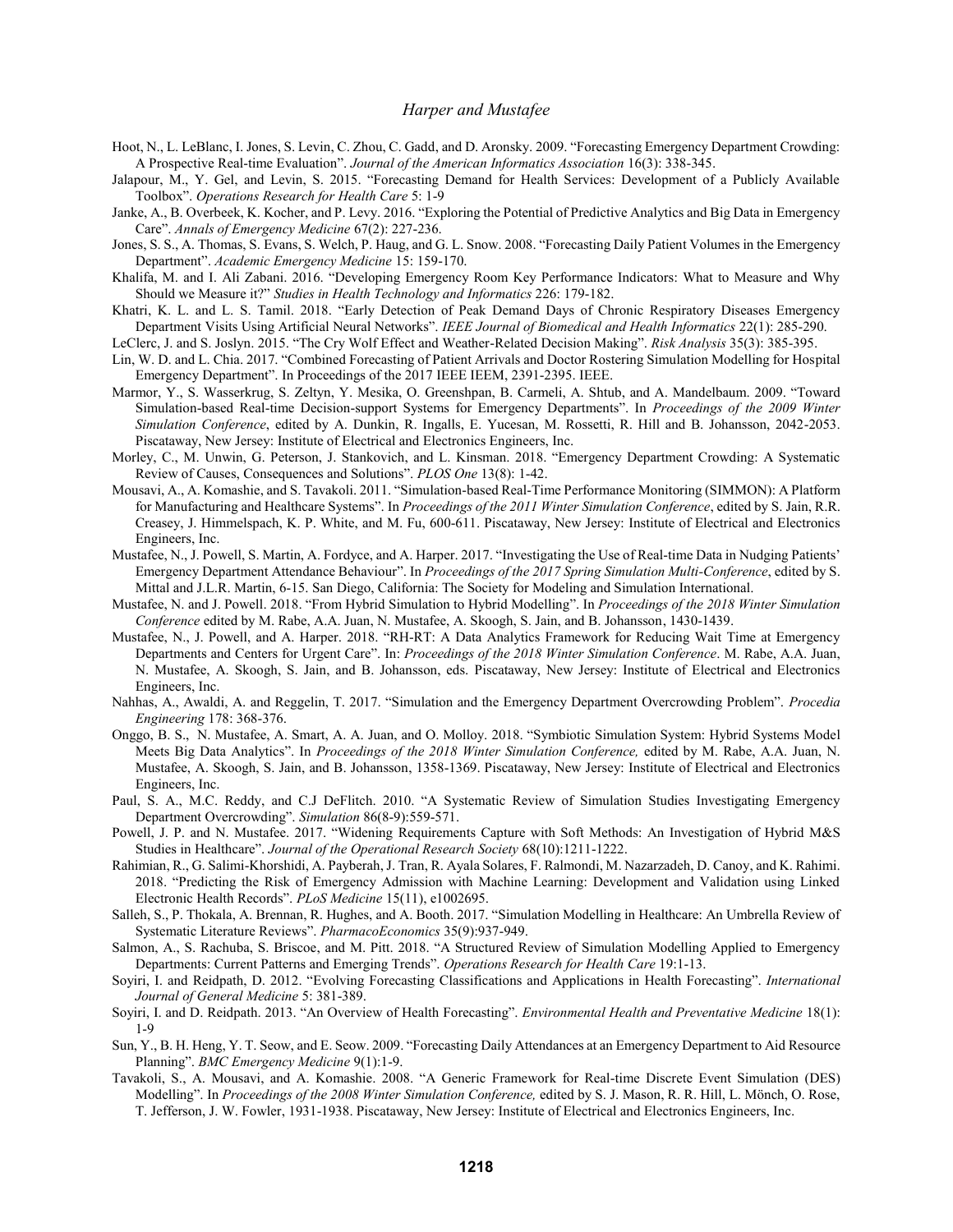- Hoot, N., L. LeBlanc, I. Jones, S. Levin, C. Zhou, C. Gadd, and D. Aronsky. 2009. "Forecasting Emergency Department Crowding: A Prospective Real-time Evaluation". *Journal of the American Informatics Association* 16(3): 338-345.
- Jalapour, M., Y. Gel, and Levin, S. 2015. "Forecasting Demand for Health Services: Development of a Publicly Available Toolbox". *Operations Research for Health Care* 5: 1-9
- Janke, A., B. Overbeek, K. Kocher, and P. Levy. 2016. "Exploring the Potential of Predictive Analytics and Big Data in Emergency Care". *Annals of Emergency Medicine* 67(2): 227-236.
- Jones, S. S., A. Thomas, S. Evans, S. Welch, P. Haug, and G. L. Snow. 2008. "Forecasting Daily Patient Volumes in the Emergency Department". *Academic Emergency Medicine* 15: 159-170.
- Khalifa, M. and I. Ali Zabani. 2016. "Developing Emergency Room Key Performance Indicators: What to Measure and Why Should we Measure it?" *Studies in Health Technology and Informatics* 226: 179-182.
- Khatri, K. L. and L. S. Tamil. 2018. "Early Detection of Peak Demand Days of Chronic Respiratory Diseases Emergency Department Visits Using Artificial Neural Networks". *IEEE Journal of Biomedical and Health Informatics* 22(1): 285-290.
- LeClerc, J. and S. Joslyn. 2015. "The Cry Wolf Effect and Weather-Related Decision Making". *Risk Analysis* 35(3): 385-395.
- Lin, W. D. and L. Chia. 2017. "Combined Forecasting of Patient Arrivals and Doctor Rostering Simulation Modelling for Hospital Emergency Department". In Proceedings of the 2017 IEEE IEEM, 2391-2395. IEEE.
- Marmor, Y., S. Wasserkrug, S. Zeltyn, Y. Mesika, O. Greenshpan, B. Carmeli, A. Shtub, and A. Mandelbaum. 2009. "Toward Simulation-based Real-time Decision-support Systems for Emergency Departments". In *Proceedings of the 2009 Winter Simulation Conference*, edited by A. Dunkin, R. Ingalls, E. Yucesan, M. Rossetti, R. Hill and B. Johansson, 2042-2053. Piscataway, New Jersey: Institute of Electrical and Electronics Engineers, Inc.
- Morley, C., M. Unwin, G. Peterson, J. Stankovich, and L. Kinsman. 2018. "Emergency Department Crowding: A Systematic Review of Causes, Consequences and Solutions". *PLOS One* 13(8): 1-42.
- Mousavi, A., A. Komashie, and S. Tavakoli. 2011. "Simulation-based Real-Time Performance Monitoring (SIMMON): A Platform for Manufacturing and Healthcare Systems". In *Proceedings of the 2011 Winter Simulation Conference*, edited by S. Jain, R.R. Creasey, J. Himmelspach, K. P. White, and M. Fu, 600-611. Piscataway, New Jersey: Institute of Electrical and Electronics Engineers, Inc.
- Mustafee, N., J. Powell, S. Martin, A. Fordyce, and A. Harper. 2017. "Investigating the Use of Real-time Data in Nudging Patients' Emergency Department Attendance Behaviour". In *Proceedings of the 2017 Spring Simulation Multi-Conference*, edited by S. Mittal and J.L.R. Martin, 6-15. San Diego, California: The Society for Modeling and Simulation International.
- Mustafee, N. and J. Powell. 2018. "From Hybrid Simulation to Hybrid Modelling". In *Proceedings of the 2018 Winter Simulation Conference* edited by M. Rabe, A.A. Juan, N. Mustafee, A. Skoogh, S. Jain, and B. Johansson, 1430-1439.
- Mustafee, N., J. Powell, and A. Harper. 2018. "RH-RT: A Data Analytics Framework for Reducing Wait Time at Emergency Departments and Centers for Urgent Care". In: *Proceedings of the 2018 Winter Simulation Conference*. M. Rabe, A.A. Juan, N. Mustafee, A. Skoogh, S. Jain, and B. Johansson, eds. Piscataway, New Jersey: Institute of Electrical and Electronics Engineers, Inc.
- Nahhas, A., Awaldi, A. and Reggelin, T. 2017. "Simulation and the Emergency Department Overcrowding Problem". *Procedia Engineering* 178: 368-376.
- Onggo, B. S., N. Mustafee, A. Smart, A. A. Juan, and O. Molloy. 2018. "Symbiotic Simulation System: Hybrid Systems Model Meets Big Data Analytics". In *Proceedings of the 2018 Winter Simulation Conference,* edited by M. Rabe, A.A. Juan, N. Mustafee, A. Skoogh, S. Jain, and B. Johansson, 1358-1369. Piscataway, New Jersey: Institute of Electrical and Electronics Engineers, Inc.
- Paul, S. A., M.C. Reddy, and C.J DeFlitch. 2010. "A Systematic Review of Simulation Studies Investigating Emergency Department Overcrowding". *Simulation* 86(8-9):559-571.
- Powell, J. P. and N. Mustafee. 2017. "Widening Requirements Capture with Soft Methods: An Investigation of Hybrid M&S Studies in Healthcare". *Journal of the Operational Research Society* 68(10):1211-1222.
- Rahimian, R., G. Salimi-Khorshidi, A. Payberah, J. Tran, R. Ayala Solares, F. Ralmondi, M. Nazarzadeh, D. Canoy, and K. Rahimi. 2018. "Predicting the Risk of Emergency Admission with Machine Learning: Development and Validation using Linked Electronic Health Records". *PLoS Medicine* 15(11), e1002695.
- Salleh, S., P. Thokala, A. Brennan, R. Hughes, and A. Booth. 2017. "Simulation Modelling in Healthcare: An Umbrella Review of Systematic Literature Reviews". *PharmacoEconomics* 35(9):937-949.
- Salmon, A., S. Rachuba, S. Briscoe, and M. Pitt. 2018. "A Structured Review of Simulation Modelling Applied to Emergency Departments: Current Patterns and Emerging Trends". *Operations Research for Health Care* 19:1-13.
- Soyiri, I. and Reidpath, D. 2012. "Evolving Forecasting Classifications and Applications in Health Forecasting". *International Journal of General Medicine* 5: 381-389.
- Soyiri, I. and D. Reidpath. 2013. "An Overview of Health Forecasting". *Environmental Health and Preventative Medicine* 18(1): 1-9
- Sun, Y., B. H. Heng, Y. T. Seow, and E. Seow. 2009. "Forecasting Daily Attendances at an Emergency Department to Aid Resource Planning". *BMC Emergency Medicine* 9(1):1-9.
- Tavakoli, S., A. Mousavi, and A. Komashie. 2008. "A Generic Framework for Real-time Discrete Event Simulation (DES) Modelling". In *Proceedings of the 2008 Winter Simulation Conference,* edited by S. J. Mason, R. R. Hill, L. Mönch, O. Rose, T. Jefferson, J. W. Fowler, 1931-1938. Piscataway, New Jersey: Institute of Electrical and Electronics Engineers, Inc.